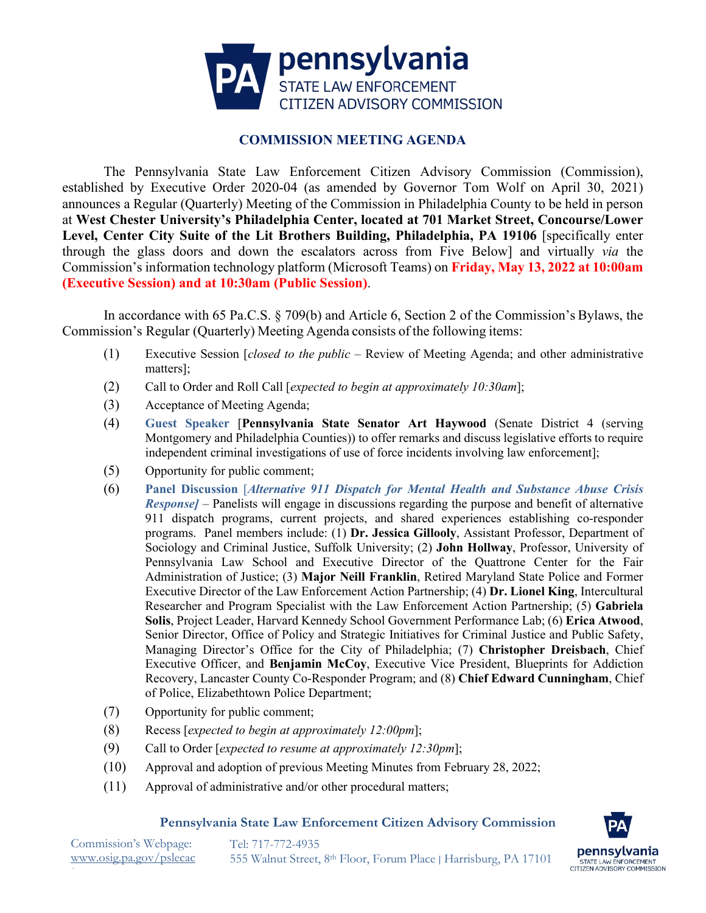

## **COMMISSION MEETING AGENDA**

The Pennsylvania State Law Enforcement Citizen Advisory Commission (Commission), established by Executive Order 2020-04 (as amended by Governor Tom Wolf on April 30, 2021) announces a Regular (Quarterly) Meeting of the Commission in Philadelphia County to be held in person at **West Chester University's Philadelphia Center, located at 701 Market Street, Concourse/Lower**  Level, Center City Suite of the Lit Brothers Building, Philadelphia, PA 19106 [specifically enter through the glass doors and down the escalators across from Five Below] and virtually *via* the Commission's information technology platform (Microsoft Teams) on **Friday, May 13, 2022 at 10:00am (Executive Session) and at 10:30am (Public Session)**.

In accordance with 65 Pa.C.S. § 709(b) and Article 6, Section 2 of the Commission's Bylaws, the Commission's Regular (Quarterly) Meeting Agenda consists of the following items:

- (1) Executive Session [*closed to the public* Review of Meeting Agenda; and other administrative matters];
- (2) Call to Order and Roll Call [*expected to begin at approximately 10:30am*];
- (3) Acceptance of Meeting Agenda;
- (4) **Guest Speaker** [**Pennsylvania State Senator Art Haywood** (Senate District 4 (serving Montgomery and Philadelphia Counties)) to offer remarks and discuss legislative efforts to require independent criminal investigations of use of force incidents involving law enforcement];
- (5) Opportunity for public comment;
- (6) **Panel Discussion** [*Alternative 911 Dispatch for Mental Health and Substance Abuse Crisis Response]* – Panelists will engage in discussions regarding the purpose and benefit of alternative 911 dispatch programs, current projects, and shared experiences establishing co-responder programs. Panel members include: (1) **Dr. Jessica Gillooly**, Assistant Professor, Department of Sociology and Criminal Justice, Suffolk University; (2) **John Hollway**, Professor, University of Pennsylvania Law School and Executive Director of the Quattrone Center for the Fair Administration of Justice; (3) **Major Neill Franklin**, Retired Maryland State Police and Former Executive Director of the Law Enforcement Action Partnership; (4) **Dr. Lionel King**, Intercultural Researcher and Program Specialist with the Law Enforcement Action Partnership; (5) **Gabriela Solis**, Project Leader, Harvard Kennedy School Government Performance Lab; (6) **Erica Atwood**, Senior Director, Office of Policy and Strategic Initiatives for Criminal Justice and Public Safety, Managing Director's Office for the City of Philadelphia; (7) **Christopher Dreisbach**, Chief Executive Officer, and **Benjamin McCoy**, Executive Vice President, Blueprints for Addiction Recovery, Lancaster County Co-Responder Program; and (8) **Chief Edward Cunningham**, Chief of Police, Elizabethtown Police Department;
- (7) Opportunity for public comment;
- (8) Recess [*expected to begin at approximately 12:00pm*];
- (9) Call to Order [*expected to resume at approximately 12:30pm*];
- (10) Approval and adoption of previous Meeting Minutes from February 28, 2022;
- (11) Approval of administrative and/or other procedural matters;

## **Pennsylvania State Law Enforcement Citizen Advisory Commission**